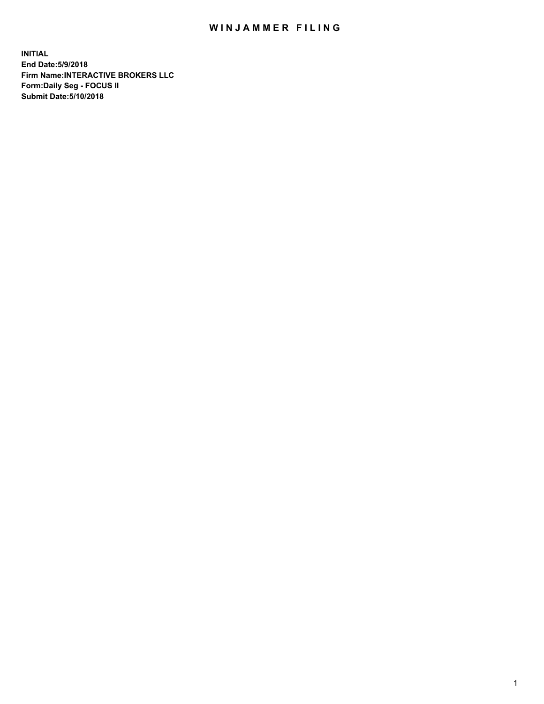## WIN JAMMER FILING

**INITIAL End Date:5/9/2018 Firm Name:INTERACTIVE BROKERS LLC Form:Daily Seg - FOCUS II Submit Date:5/10/2018**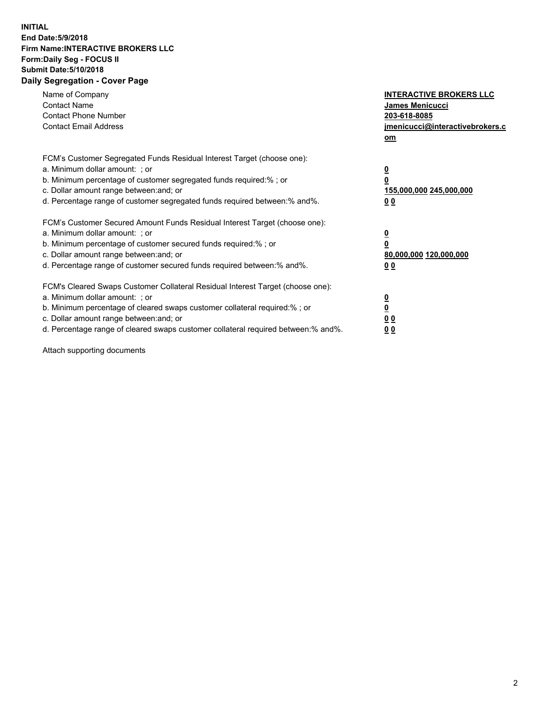## **INITIAL End Date:5/9/2018 Firm Name:INTERACTIVE BROKERS LLC Form:Daily Seg - FOCUS II Submit Date:5/10/2018 Daily Segregation - Cover Page**

| Name of Company<br><b>Contact Name</b><br><b>Contact Phone Number</b><br><b>Contact Email Address</b>                                                                                                                                                                                                                          | <b>INTERACTIVE BROKERS LLC</b><br>James Menicucci<br>203-618-8085<br>jmenicucci@interactivebrokers.c<br>om |
|--------------------------------------------------------------------------------------------------------------------------------------------------------------------------------------------------------------------------------------------------------------------------------------------------------------------------------|------------------------------------------------------------------------------------------------------------|
| FCM's Customer Segregated Funds Residual Interest Target (choose one):<br>a. Minimum dollar amount: ; or<br>b. Minimum percentage of customer segregated funds required:%; or<br>c. Dollar amount range between: and; or<br>d. Percentage range of customer segregated funds required between:% and%.                          | $\overline{\mathbf{0}}$<br>$\overline{\mathbf{0}}$<br>155,000,000 245,000,000<br>00                        |
| FCM's Customer Secured Amount Funds Residual Interest Target (choose one):<br>a. Minimum dollar amount: ; or<br>b. Minimum percentage of customer secured funds required:%; or<br>c. Dollar amount range between: and; or<br>d. Percentage range of customer secured funds required between: % and %.                          | $\overline{\mathbf{0}}$<br>$\mathbf 0$<br>80,000,000 120,000,000<br>00                                     |
| FCM's Cleared Swaps Customer Collateral Residual Interest Target (choose one):<br>a. Minimum dollar amount: ; or<br>b. Minimum percentage of cleared swaps customer collateral required:% ; or<br>c. Dollar amount range between: and; or<br>d. Percentage range of cleared swaps customer collateral required between:% and%. | $\overline{\mathbf{0}}$<br>$\underline{\mathbf{0}}$<br>0 <sub>0</sub><br>0 <sub>0</sub>                    |

Attach supporting documents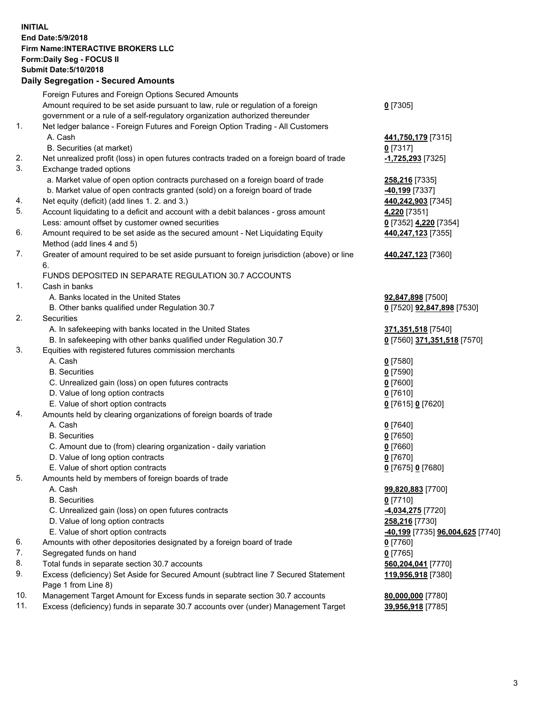## **INITIAL End Date:5/9/2018 Firm Name:INTERACTIVE BROKERS LLC Form:Daily Seg - FOCUS II Submit Date:5/10/2018 Daily Segregation - Secured Amounts**

|     | Foreign Futures and Foreign Options Secured Amounts                                         |                                  |
|-----|---------------------------------------------------------------------------------------------|----------------------------------|
|     | Amount required to be set aside pursuant to law, rule or regulation of a foreign            | $0$ [7305]                       |
|     | government or a rule of a self-regulatory organization authorized thereunder                |                                  |
| 1.  | Net ledger balance - Foreign Futures and Foreign Option Trading - All Customers             |                                  |
|     | A. Cash                                                                                     | 441,750,179 [7315]               |
|     | B. Securities (at market)                                                                   | $0$ [7317]                       |
| 2.  | Net unrealized profit (loss) in open futures contracts traded on a foreign board of trade   | 1,725,293 [7325]                 |
| 3.  | Exchange traded options                                                                     |                                  |
|     | a. Market value of open option contracts purchased on a foreign board of trade              | 258,216 [7335]                   |
|     | b. Market value of open contracts granted (sold) on a foreign board of trade                | -40,199 <sup>[7337]</sup>        |
| 4.  | Net equity (deficit) (add lines 1.2. and 3.)                                                | 440,242,903 [7345]               |
| 5.  | Account liquidating to a deficit and account with a debit balances - gross amount           | 4,220 [7351]                     |
|     | Less: amount offset by customer owned securities                                            | 0 [7352] 4,220 [7354]            |
| 6.  | Amount required to be set aside as the secured amount - Net Liquidating Equity              | 440,247,123 [7355]               |
|     | Method (add lines 4 and 5)                                                                  |                                  |
| 7.  |                                                                                             |                                  |
|     | Greater of amount required to be set aside pursuant to foreign jurisdiction (above) or line | 440,247,123 [7360]               |
|     | 6.                                                                                          |                                  |
|     | FUNDS DEPOSITED IN SEPARATE REGULATION 30.7 ACCOUNTS                                        |                                  |
| 1.  | Cash in banks                                                                               |                                  |
|     | A. Banks located in the United States                                                       | 92,847,898 [7500]                |
|     | B. Other banks qualified under Regulation 30.7                                              | 0 [7520] 92,847,898 [7530]       |
| 2.  | Securities                                                                                  |                                  |
|     | A. In safekeeping with banks located in the United States                                   | 371,351,518 [7540]               |
|     | B. In safekeeping with other banks qualified under Regulation 30.7                          | 0 [7560] 371,351,518 [7570]      |
| 3.  | Equities with registered futures commission merchants                                       |                                  |
|     | A. Cash                                                                                     | $0$ [7580]                       |
|     | <b>B.</b> Securities                                                                        | $0$ [7590]                       |
|     | C. Unrealized gain (loss) on open futures contracts                                         | $0$ [7600]                       |
|     | D. Value of long option contracts                                                           | $0$ [7610]                       |
|     | E. Value of short option contracts                                                          | 0 [7615] 0 [7620]                |
| 4.  | Amounts held by clearing organizations of foreign boards of trade                           |                                  |
|     | A. Cash                                                                                     | $0$ [7640]                       |
|     | <b>B.</b> Securities                                                                        | $0$ [7650]                       |
|     | C. Amount due to (from) clearing organization - daily variation                             | $0$ [7660]                       |
|     | D. Value of long option contracts                                                           | $0$ [7670]                       |
|     | E. Value of short option contracts                                                          | 0 [7675] 0 [7680]                |
| 5.  | Amounts held by members of foreign boards of trade                                          |                                  |
|     | A. Cash                                                                                     | 99,820,883 [7700]                |
|     | <b>B.</b> Securities                                                                        | $0$ [7710]                       |
|     | C. Unrealized gain (loss) on open futures contracts                                         | -4,034,275 [7720]                |
|     | D. Value of long option contracts                                                           | 258,216 [7730]                   |
|     | E. Value of short option contracts                                                          | -40,199 [7735] 96,004,625 [7740] |
| 6.  | Amounts with other depositories designated by a foreign board of trade                      | $0$ [7760]                       |
| 7.  | Segregated funds on hand                                                                    | $0$ [7765]                       |
| 8.  | Total funds in separate section 30.7 accounts                                               | 560,204,041 [7770]               |
| 9.  | Excess (deficiency) Set Aside for Secured Amount (subtract line 7 Secured Statement         | 119,956,918 [7380]               |
|     | Page 1 from Line 8)                                                                         |                                  |
| 10. | Management Target Amount for Excess funds in separate section 30.7 accounts                 | 80,000,000 [7780]                |
| 11. | Excess (deficiency) funds in separate 30.7 accounts over (under) Management Target          | 39,956,918 [7785]                |
|     |                                                                                             |                                  |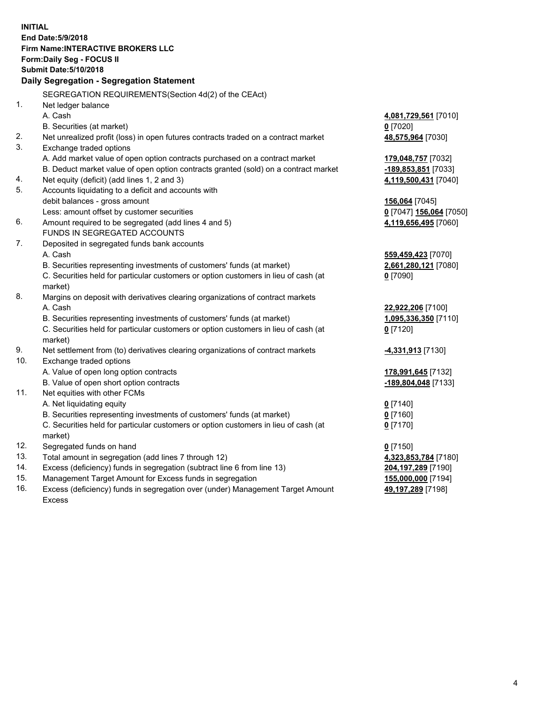**INITIAL End Date:5/9/2018 Firm Name:INTERACTIVE BROKERS LLC Form:Daily Seg - FOCUS II Submit Date:5/10/2018 Daily Segregation - Segregation Statement** SEGREGATION REQUIREMENTS(Section 4d(2) of the CEAct) 1. Net ledger balance A. Cash **4,081,729,561** [7010] B. Securities (at market) **0** [7020] 2. Net unrealized profit (loss) in open futures contracts traded on a contract market **48,575,964** [7030] 3. Exchange traded options A. Add market value of open option contracts purchased on a contract market **179,048,757** [7032] B. Deduct market value of open option contracts granted (sold) on a contract market **-189,853,851** [7033] 4. Net equity (deficit) (add lines 1, 2 and 3) **4,119,500,431** [7040] 5. Accounts liquidating to a deficit and accounts with debit balances - gross amount **156,064** [7045] Less: amount offset by customer securities **0** [7047] **156,064** [7050] 6. Amount required to be segregated (add lines 4 and 5) **4,119,656,495** [7060] FUNDS IN SEGREGATED ACCOUNTS 7. Deposited in segregated funds bank accounts A. Cash **559,459,423** [7070] B. Securities representing investments of customers' funds (at market) **2,661,280,121** [7080] C. Securities held for particular customers or option customers in lieu of cash (at market) **0** [7090] 8. Margins on deposit with derivatives clearing organizations of contract markets A. Cash **22,922,206** [7100] B. Securities representing investments of customers' funds (at market) **1,095,336,350** [7110] C. Securities held for particular customers or option customers in lieu of cash (at market) **0** [7120] 9. Net settlement from (to) derivatives clearing organizations of contract markets **-4,331,913** [7130] 10. Exchange traded options A. Value of open long option contracts **178,991,645** [7132] B. Value of open short option contracts **-189,804,048** [7133] 11. Net equities with other FCMs A. Net liquidating equity **0** [7140] B. Securities representing investments of customers' funds (at market) **0** [7160] C. Securities held for particular customers or option customers in lieu of cash (at market) **0** [7170] 12. Segregated funds on hand **0** [7150] 13. Total amount in segregation (add lines 7 through 12) **4,323,853,784** [7180] 14. Excess (deficiency) funds in segregation (subtract line 6 from line 13) **204,197,289** [7190] 15. Management Target Amount for Excess funds in segregation **155,000,000** [7194]

16. Excess (deficiency) funds in segregation over (under) Management Target Amount Excess

**49,197,289** [7198]